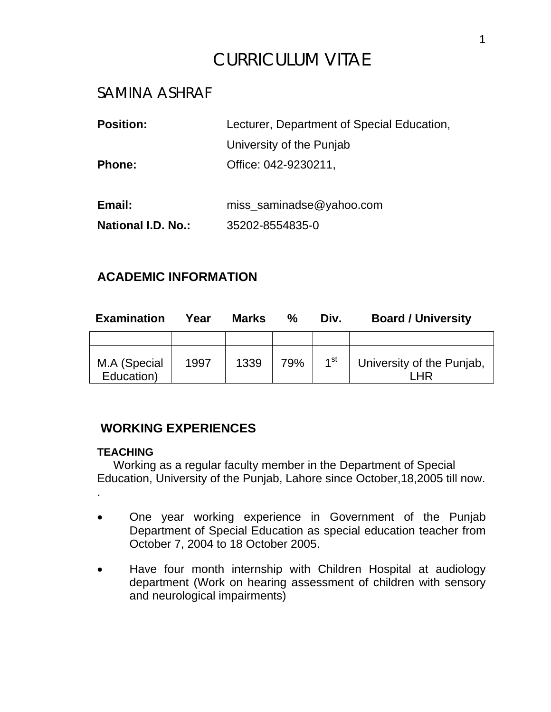# CURRICULUM VITAE

# SAMINA ASHRAF

| <b>Position:</b>   | Lecturer, Department of Special Education, |  |  |  |
|--------------------|--------------------------------------------|--|--|--|
|                    | University of the Punjab                   |  |  |  |
| <b>Phone:</b>      | Office: 042-9230211,                       |  |  |  |
|                    |                                            |  |  |  |
| Email:             | miss_saminadse@yahoo.com                   |  |  |  |
| National I.D. No.: | 35202-8554835-0                            |  |  |  |
|                    |                                            |  |  |  |

### **ACADEMIC INFORMATION**

| <b>Examination</b>         | Year | <b>Marks</b> | $\%$ | Div.            | <b>Board / University</b> |
|----------------------------|------|--------------|------|-----------------|---------------------------|
|                            |      |              |      |                 |                           |
| M.A (Special<br>Education) | 1997 | 1339         | 79%  | 1 <sup>st</sup> | University of the Punjab, |

### **WORKING EXPERIENCES**

#### **TEACHING**

 Working as a regular faculty member in the Department of Special Education, University of the Punjab, Lahore since October,18,2005 till now.

.

- One year working experience in Government of the Punjab Department of Special Education as special education teacher from October 7, 2004 to 18 October 2005.
- Have four month internship with Children Hospital at audiology department (Work on hearing assessment of children with sensory and neurological impairments)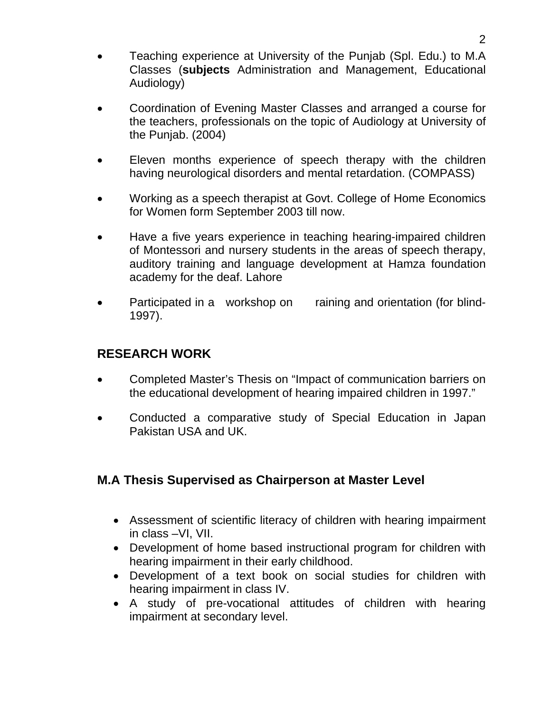- Teaching experience at University of the Punjab (Spl. Edu.) to M.A Classes (**subjects** Administration and Management, Educational Audiology)
- Coordination of Evening Master Classes and arranged a course for the teachers, professionals on the topic of Audiology at University of the Punjab. (2004)
- Eleven months experience of speech therapy with the children having neurological disorders and mental retardation. (COMPASS)
- Working as a speech therapist at Govt. College of Home Economics for Women form September 2003 till now.
- Have a five years experience in teaching hearing-impaired children of Montessori and nursery students in the areas of speech therapy, auditory training and language development at Hamza foundation academy for the deaf. Lahore
- Participated in a workshop on raining and orientation (for blind-1997).

### **RESEARCH WORK**

- Completed Master's Thesis on "Impact of communication barriers on the educational development of hearing impaired children in 1997."
- Conducted a comparative study of Special Education in Japan Pakistan USA and UK.

### **M.A Thesis Supervised as Chairperson at Master Level**

- Assessment of scientific literacy of children with hearing impairment in class –VI, VII.
- Development of home based instructional program for children with hearing impairment in their early childhood.
- Development of a text book on social studies for children with hearing impairment in class IV.
- A study of pre-vocational attitudes of children with hearing impairment at secondary level.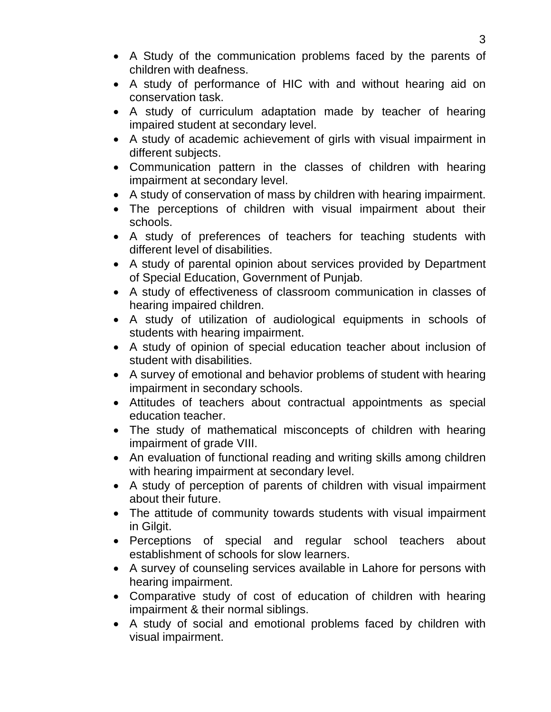- A Study of the communication problems faced by the parents of children with deafness.
- A study of performance of HIC with and without hearing aid on conservation task.
- A study of curriculum adaptation made by teacher of hearing impaired student at secondary level.
- A study of academic achievement of girls with visual impairment in different subjects.
- Communication pattern in the classes of children with hearing impairment at secondary level.
- A study of conservation of mass by children with hearing impairment.
- The perceptions of children with visual impairment about their schools.
- A study of preferences of teachers for teaching students with different level of disabilities.
- A study of parental opinion about services provided by Department of Special Education, Government of Punjab.
- A study of effectiveness of classroom communication in classes of hearing impaired children.
- A study of utilization of audiological equipments in schools of students with hearing impairment.
- A study of opinion of special education teacher about inclusion of student with disabilities.
- A survey of emotional and behavior problems of student with hearing impairment in secondary schools.
- Attitudes of teachers about contractual appointments as special education teacher.
- The study of mathematical misconcepts of children with hearing impairment of grade VIII.
- An evaluation of functional reading and writing skills among children with hearing impairment at secondary level.
- A study of perception of parents of children with visual impairment about their future.
- The attitude of community towards students with visual impairment in Gilgit.
- Perceptions of special and regular school teachers about establishment of schools for slow learners.
- A survey of counseling services available in Lahore for persons with hearing impairment.
- Comparative study of cost of education of children with hearing impairment & their normal siblings.
- A study of social and emotional problems faced by children with visual impairment.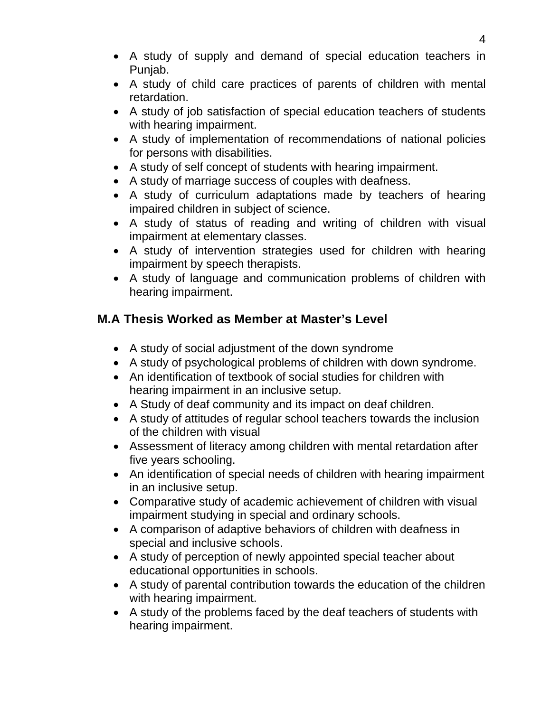- A study of supply and demand of special education teachers in Punjab.
- A study of child care practices of parents of children with mental retardation.
- A study of job satisfaction of special education teachers of students with hearing impairment.
- A study of implementation of recommendations of national policies for persons with disabilities.
- A study of self concept of students with hearing impairment.
- A study of marriage success of couples with deafness.
- A study of curriculum adaptations made by teachers of hearing impaired children in subject of science.
- A study of status of reading and writing of children with visual impairment at elementary classes.
- A study of intervention strategies used for children with hearing impairment by speech therapists.
- A study of language and communication problems of children with hearing impairment.

# **M.A Thesis Worked as Member at Master's Level**

- A study of social adjustment of the down syndrome
- A study of psychological problems of children with down syndrome.
- An identification of textbook of social studies for children with hearing impairment in an inclusive setup.
- A Study of deaf community and its impact on deaf children.
- A study of attitudes of regular school teachers towards the inclusion of the children with visual
- Assessment of literacy among children with mental retardation after five years schooling.
- An identification of special needs of children with hearing impairment in an inclusive setup.
- Comparative study of academic achievement of children with visual impairment studying in special and ordinary schools.
- A comparison of adaptive behaviors of children with deafness in special and inclusive schools.
- A study of perception of newly appointed special teacher about educational opportunities in schools.
- A study of parental contribution towards the education of the children with hearing impairment.
- A study of the problems faced by the deaf teachers of students with hearing impairment.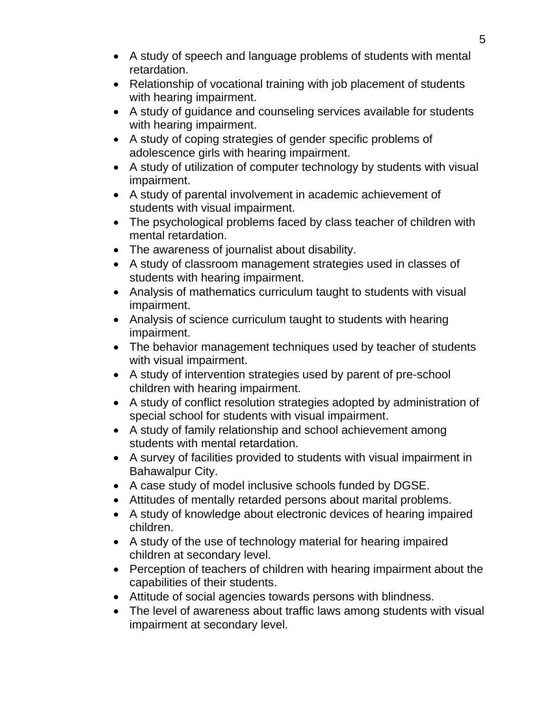- A study of speech and language problems of students with mental retardation.
- Relationship of vocational training with job placement of students with hearing impairment.
- A study of guidance and counseling services available for students with hearing impairment.
- A study of coping strategies of gender specific problems of adolescence girls with hearing impairment.
- A study of utilization of computer technology by students with visual impairment.
- A study of parental involvement in academic achievement of students with visual impairment.
- The psychological problems faced by class teacher of children with mental retardation.
- The awareness of journalist about disability.
- A study of classroom management strategies used in classes of students with hearing impairment.
- Analysis of mathematics curriculum taught to students with visual impairment.
- Analysis of science curriculum taught to students with hearing impairment.
- The behavior management techniques used by teacher of students with visual impairment.
- A study of intervention strategies used by parent of pre-school children with hearing impairment.
- A study of conflict resolution strategies adopted by administration of special school for students with visual impairment.
- A study of family relationship and school achievement among students with mental retardation.
- A survey of facilities provided to students with visual impairment in Bahawalpur City.
- A case study of model inclusive schools funded by DGSE.
- Attitudes of mentally retarded persons about marital problems.
- A study of knowledge about electronic devices of hearing impaired children.
- A study of the use of technology material for hearing impaired children at secondary level.
- Perception of teachers of children with hearing impairment about the capabilities of their students.
- Attitude of social agencies towards persons with blindness.
- The level of awareness about traffic laws among students with visual impairment at secondary level.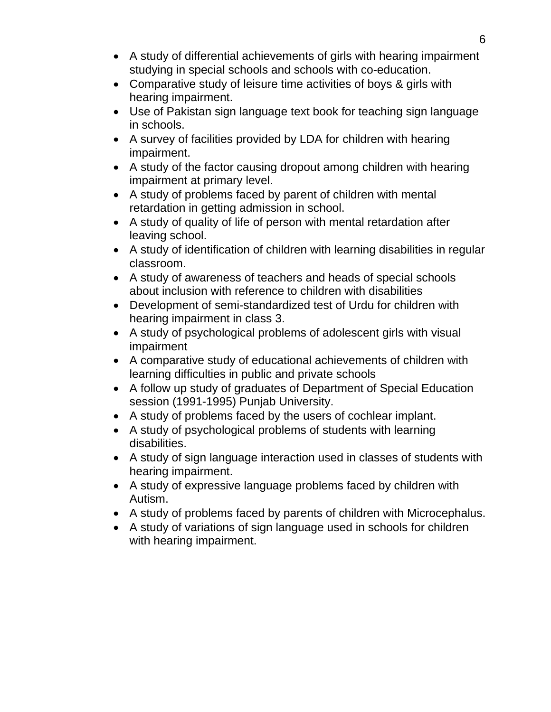- A study of differential achievements of girls with hearing impairment studying in special schools and schools with co-education.
- Comparative study of leisure time activities of boys & girls with hearing impairment.
- Use of Pakistan sign language text book for teaching sign language in schools.
- A survey of facilities provided by LDA for children with hearing impairment.
- A study of the factor causing dropout among children with hearing impairment at primary level.
- A study of problems faced by parent of children with mental retardation in getting admission in school.
- A study of quality of life of person with mental retardation after leaving school.
- A study of identification of children with learning disabilities in regular classroom.
- A study of awareness of teachers and heads of special schools about inclusion with reference to children with disabilities
- Development of semi-standardized test of Urdu for children with hearing impairment in class 3.
- A study of psychological problems of adolescent girls with visual impairment
- A comparative study of educational achievements of children with learning difficulties in public and private schools
- A follow up study of graduates of Department of Special Education session (1991-1995) Punjab University.
- A study of problems faced by the users of cochlear implant.
- A study of psychological problems of students with learning disabilities.
- A study of sign language interaction used in classes of students with hearing impairment.
- A study of expressive language problems faced by children with Autism.
- A study of problems faced by parents of children with Microcephalus.
- A study of variations of sign language used in schools for children with hearing impairment.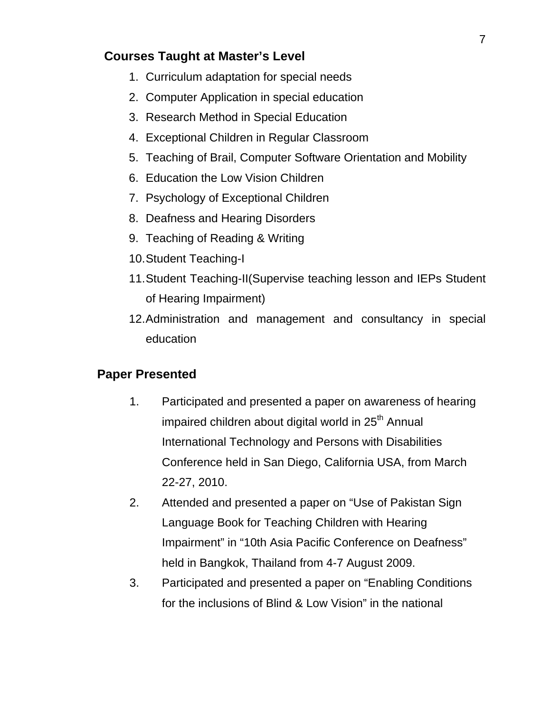## **Courses Taught at Master's Level**

- 1. Curriculum adaptation for special needs
- 2. Computer Application in special education
- 3. Research Method in Special Education
- 4. Exceptional Children in Regular Classroom
- 5. Teaching of Brail, Computer Software Orientation and Mobility
- 6. Education the Low Vision Children
- 7. Psychology of Exceptional Children
- 8. Deafness and Hearing Disorders
- 9. Teaching of Reading & Writing
- 10. Student Teaching-I
- 11. Student Teaching-II(Supervise teaching lesson and IEPs Student of Hearing Impairment)
- 12. Administration and management and consultancy in special education

### **Paper Presented**

- 1. Participated and presented a paper on awareness of hearing impaired children about digital world in  $25<sup>th</sup>$  Annual International Technology and Persons with Disabilities Conference held in San Diego, California USA, from March 22-27, 2010.
- 2. Attended and presented a paper on "Use of Pakistan Sign Language Book for Teaching Children with Hearing Impairment" in "10th Asia Pacific Conference on Deafness" held in Bangkok, Thailand from 4-7 August 2009.
- 3. Participated and presented a paper on "Enabling Conditions for the inclusions of Blind & Low Vision" in the national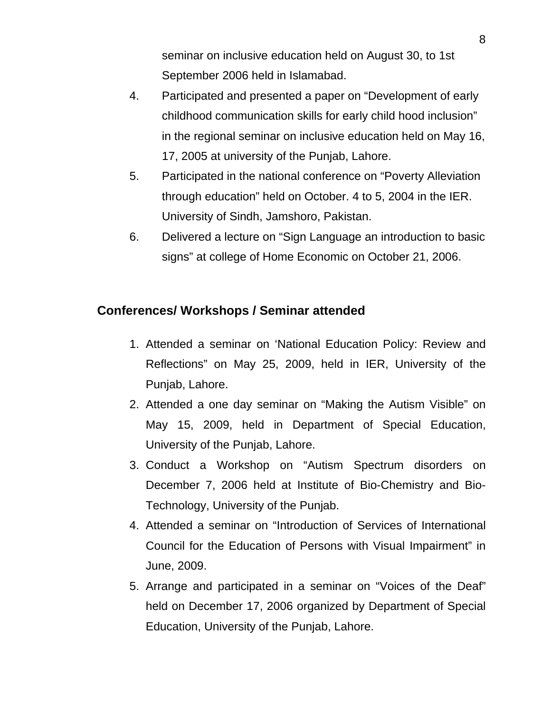seminar on inclusive education held on August 30, to 1st September 2006 held in Islamabad.

- 4. Participated and presented a paper on "Development of early childhood communication skills for early child hood inclusion" in the regional seminar on inclusive education held on May 16, 17, 2005 at university of the Punjab, Lahore.
- 5. Participated in the national conference on "Poverty Alleviation through education" held on October. 4 to 5, 2004 in the IER. University of Sindh, Jamshoro, Pakistan.
- 6. Delivered a lecture on "Sign Language an introduction to basic signs" at college of Home Economic on October 21, 2006.

### **Conferences/ Workshops / Seminar attended**

- 1. Attended a seminar on 'National Education Policy: Review and Reflections" on May 25, 2009, held in IER, University of the Punjab, Lahore.
- 2. Attended a one day seminar on "Making the Autism Visible" on May 15, 2009, held in Department of Special Education, University of the Punjab, Lahore.
- 3. Conduct a Workshop on "Autism Spectrum disorders on December 7, 2006 held at Institute of Bio-Chemistry and Bio-Technology, University of the Punjab.
- 4. Attended a seminar on "Introduction of Services of International Council for the Education of Persons with Visual Impairment" in June, 2009.
- 5. Arrange and participated in a seminar on "Voices of the Deaf" held on December 17, 2006 organized by Department of Special Education, University of the Punjab, Lahore.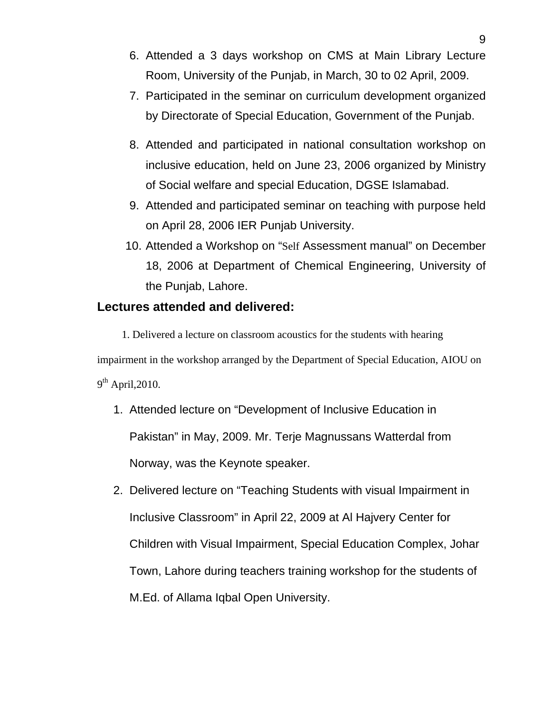- 6. Attended a 3 days workshop on CMS at Main Library Lecture Room, University of the Punjab, in March, 30 to 02 April, 2009.
- 7. Participated in the seminar on curriculum development organized by Directorate of Special Education, Government of the Punjab.
- 8. Attended and participated in national consultation workshop on inclusive education, held on June 23, 2006 organized by Ministry of Social welfare and special Education, DGSE Islamabad.
- 9. Attended and participated seminar on teaching with purpose held on April 28, 2006 IER Punjab University.
- 10. Attended a Workshop on "Self Assessment manual" on December 18, 2006 at Department of Chemical Engineering, University of the Punjab, Lahore.

#### **Lectures attended and delivered:**

1. Delivered a lecture on classroom acoustics for the students with hearing impairment in the workshop arranged by the Department of Special Education, AIOU on  $9<sup>th</sup>$  April, 2010.

- 1. Attended lecture on "Development of Inclusive Education in Pakistan" in May, 2009. Mr. Terje Magnussans Watterdal from Norway, was the Keynote speaker.
- 2. Delivered lecture on "Teaching Students with visual Impairment in Inclusive Classroom" in April 22, 2009 at Al Hajvery Center for Children with Visual Impairment, Special Education Complex, Johar Town, Lahore during teachers training workshop for the students of M.Ed. of Allama Iqbal Open University.